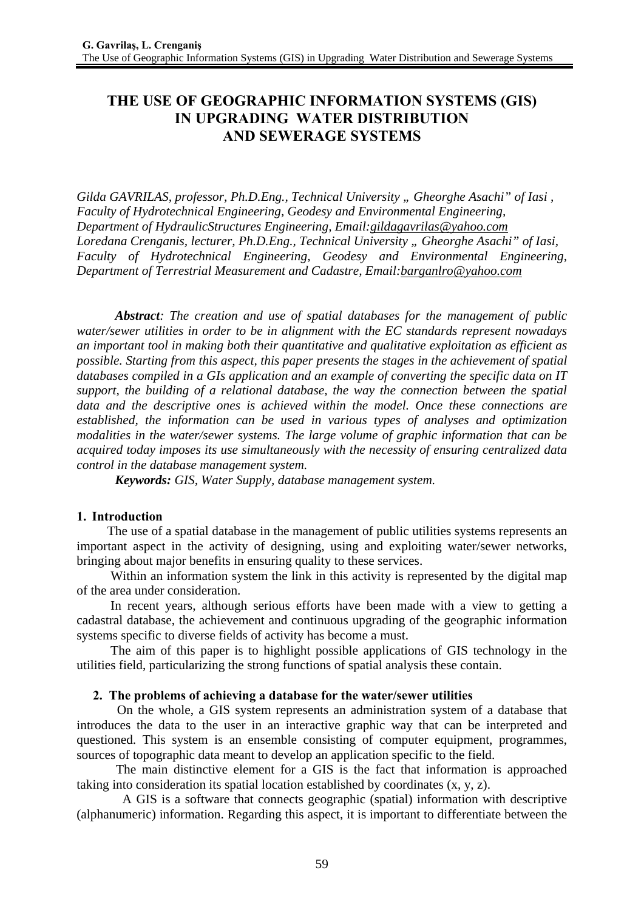# **THE USE OF GEOGRAPHIC INFORMATION SYSTEMS (GIS) IN UPGRADING WATER DISTRIBUTION AND SEWERAGE SYSTEMS**

*Gilda GAVRILAS, professor, Ph.D.Eng., Technical University " Gheorghe Asachi" of Iasi , Faculty of Hydrotechnical Engineering, Geodesy and Environmental Engineering, Department of HydraulicStructures Engineering, Email:gildagavrilas@yahoo.com* Loredana Crenganis, lecturer, Ph.D.Eng., Technical University " Gheorghe Asachi" of Iasi, *Faculty of Hydrotechnical Engineering, Geodesy and Environmental Engineering, Department of Terrestrial Measurement and Cadastre, Email:barganlro@yahoo.com*

*Abstract: The creation and use of spatial databases for the management of public water/sewer utilities in order to be in alignment with the EC standards represent nowadays an important tool in making both their quantitative and qualitative exploitation as efficient as possible. Starting from this aspect, this paper presents the stages in the achievement of spatial databases compiled in a GIs application and an example of converting the specific data on IT support, the building of a relational database, the way the connection between the spatial data and the descriptive ones is achieved within the model. Once these connections are established, the information can be used in various types of analyses and optimization modalities in the water/sewer systems. The large volume of graphic information that can be acquired today imposes its use simultaneously with the necessity of ensuring centralized data control in the database management system.* 

*Keywords: GIS, Water Supply, database management system.*

### **1. Introduction**

The use of a spatial database in the management of public utilities systems represents an important aspect in the activity of designing, using and exploiting water/sewer networks, bringing about major benefits in ensuring quality to these services.

 Within an information system the link in this activity is represented by the digital map of the area under consideration.

 In recent years, although serious efforts have been made with a view to getting a cadastral database, the achievement and continuous upgrading of the geographic information systems specific to diverse fields of activity has become a must.

 The aim of this paper is to highlight possible applications of GIS technology in the utilities field, particularizing the strong functions of spatial analysis these contain.

### **2. The problems of achieving a database for the water/sewer utilities**

 On the whole, a GIS system represents an administration system of a database that introduces the data to the user in an interactive graphic way that can be interpreted and questioned. This system is an ensemble consisting of computer equipment, programmes, sources of topographic data meant to develop an application specific to the field.

 The main distinctive element for a GIS is the fact that information is approached taking into consideration its spatial location established by coordinates  $(x, y, z)$ .

 A GIS is a software that connects geographic (spatial) information with descriptive (alphanumeric) information. Regarding this aspect, it is important to differentiate between the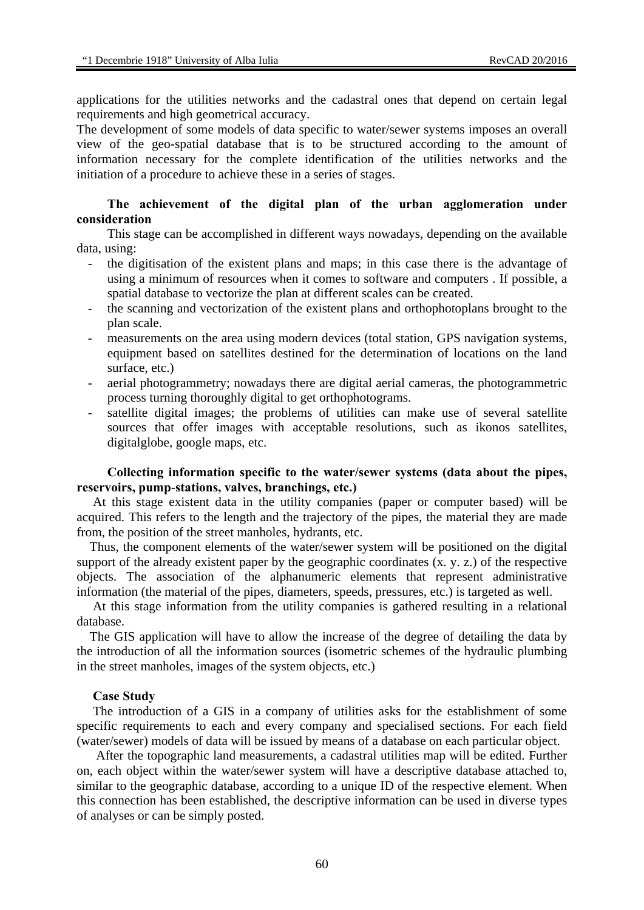applications for the utilities networks and the cadastral ones that depend on certain legal requirements and high geometrical accuracy.

The development of some models of data specific to water/sewer systems imposes an overall view of the geo-spatial database that is to be structured according to the amount of information necessary for the complete identification of the utilities networks and the initiation of a procedure to achieve these in a series of stages.

### **The achievement of the digital plan of the urban agglomeration under consideration**

This stage can be accomplished in different ways nowadays, depending on the available data, using:

- the digitisation of the existent plans and maps; in this case there is the advantage of using a minimum of resources when it comes to software and computers . If possible, a spatial database to vectorize the plan at different scales can be created.
- the scanning and vectorization of the existent plans and orthophotoplans brought to the plan scale.
- measurements on the area using modern devices (total station, GPS navigation systems, equipment based on satellites destined for the determination of locations on the land surface, etc.)
- aerial photogrammetry; nowadays there are digital aerial cameras, the photogrammetric process turning thoroughly digital to get orthophotograms.
- satellite digital images; the problems of utilities can make use of several satellite sources that offer images with acceptable resolutions, such as ikonos satellites, digitalglobe, google maps, etc.

### **Collecting information specific to the water/sewer systems (data about the pipes, reservoirs, pump***-***stations, valves, branchings, etc.)**

 At this stage existent data in the utility companies (paper or computer based) will be acquired. This refers to the length and the trajectory of the pipes, the material they are made from, the position of the street manholes, hydrants, etc.

 Thus, the component elements of the water/sewer system will be positioned on the digital support of the already existent paper by the geographic coordinates (x. y. z.) of the respective objects. The association of the alphanumeric elements that represent administrative information (the material of the pipes, diameters, speeds, pressures, etc.) is targeted as well.

 At this stage information from the utility companies is gathered resulting in a relational database.

 The GIS application will have to allow the increase of the degree of detailing the data by the introduction of all the information sources (isometric schemes of the hydraulic plumbing in the street manholes, images of the system objects, etc.)

#### **Case Study**

 The introduction of a GIS in a company of utilities asks for the establishment of some specific requirements to each and every company and specialised sections. For each field (water/sewer) models of data will be issued by means of a database on each particular object.

 After the topographic land measurements, a cadastral utilities map will be edited. Further on, each object within the water/sewer system will have a descriptive database attached to, similar to the geographic database, according to a unique ID of the respective element. When this connection has been established, the descriptive information can be used in diverse types of analyses or can be simply posted.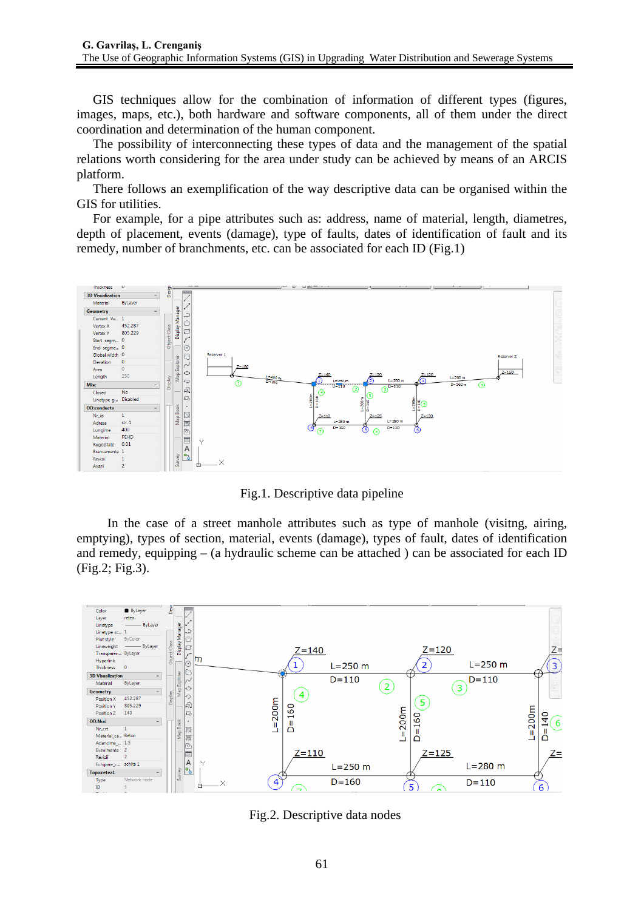GIS techniques allow for the combination of information of different types (figures, images, maps, etc.), both hardware and software components, all of them under the direct coordination and determination of the human component.

The possibility of interconnecting these types of data and the management of the spatial relations worth considering for the area under study can be achieved by means of an ARCIS platform.

 There follows an exemplification of the way descriptive data can be organised within the GIS for utilities.

 For example, for a pipe attributes such as: address, name of material, length, diametres, depth of placement, events (damage), type of faults, dates of identification of fault and its remedy, number of branchments, etc. can be associated for each ID (Fig.1)



Fig.1. Descriptive data pipeline

In the case of a street manhole attributes such as type of manhole (visitng, airing, emptying), types of section, material, events (damage), types of fault, dates of identification and remedy, equipping  $-$  (a hydraulic scheme can be attached) can be associated for each ID (Fig.2; Fig.3).



Fig.2. Descriptive data nodes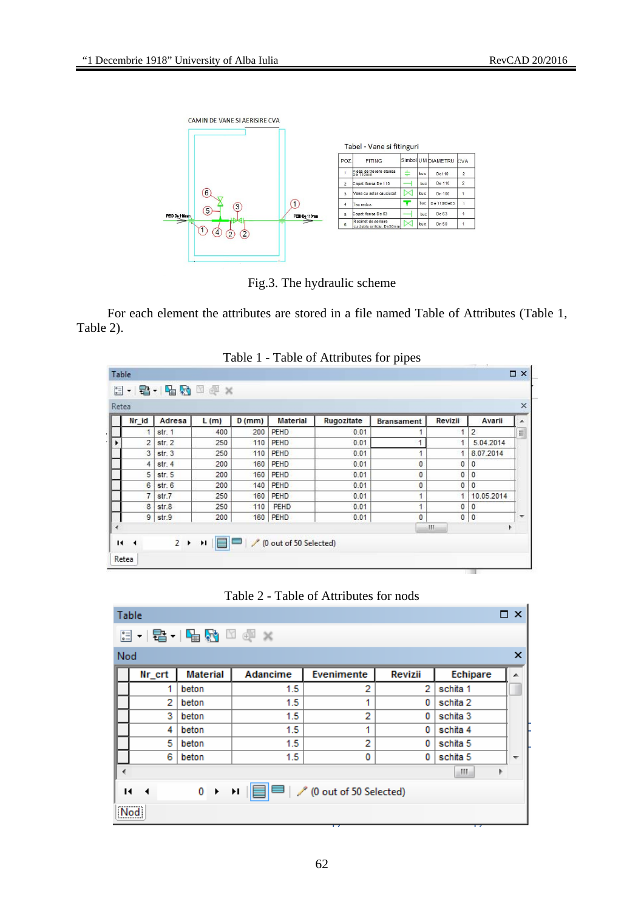

Fig.3. The hydraulic scheme

For each element the attributes are stored in a file named Table of Attributes (Table 1, Table 2).

| Retea                    |                |           |      |          |                 |            |                      |                      |                | ×        |
|--------------------------|----------------|-----------|------|----------|-----------------|------------|----------------------|----------------------|----------------|----------|
|                          | Nr id          | Adresa    | L(m) | $D$ (mm) | <b>Material</b> | Rugozitate | <b>Bransament</b>    | Revizii              | Avarii         | ▲        |
|                          | 1              | str. 1    | 400  | 200      | <b>PEHD</b>     | 0.01       |                      |                      | $\overline{2}$ | $\equiv$ |
|                          | $\overline{2}$ | str. 2    | 250  | 110      | <b>PEHD</b>     | 0.01       | 4                    | 1                    | 5.04.2014      |          |
|                          | 3              | str.3     | 250  | 110      | <b>PEHD</b>     | 0.01       |                      |                      | 8.07.2014      |          |
|                          | 4              | str.4     | 200  | 160      | <b>PEHD</b>     | 0.01       | 0                    | 0                    | 0              |          |
|                          | 5              | str.5     | 200  | 160      | <b>PEHD</b>     | 0.01       | $\bf{0}$             | 0                    | 0              |          |
|                          | 6              | str. 6    | 200  | 140      | <b>PEHD</b>     | 0.01       | $\mathbf 0$          | 0                    | $\mathbf{0}$   |          |
|                          | $\overline{7}$ | str.7     | 250  | 160      | <b>PEHD</b>     | 0.01       | 4                    | $\ddot{\phantom{1}}$ | 10.05.2014     |          |
|                          | 8              | str.8     | 250  | 110      | PEHD            | 0.01       | $\ddot{\phantom{0}}$ | 0                    | 0              |          |
|                          |                | $9$ str.9 | 200  | 160      | PEHD            | 0.01       | $\mathbf{0}$         | $\mathbf{0}$         | $\mathbf{0}$   | ۳        |
| $\overline{\phantom{a}}$ |                |           |      |          |                 |            |                      | Ш                    | k              |          |



| $\Box$ $\times$<br>Table                                                                     |        |                 |          |            |         |          |                          |  |  |  |  |  |  |
|----------------------------------------------------------------------------------------------|--------|-----------------|----------|------------|---------|----------|--------------------------|--|--|--|--|--|--|
|                                                                                              |        |                 |          |            |         |          |                          |  |  |  |  |  |  |
| ×<br>Nod                                                                                     |        |                 |          |            |         |          |                          |  |  |  |  |  |  |
|                                                                                              | Nr_crt | <b>Material</b> | Adancime | Evenimente | Revizii | Echipare | ▲                        |  |  |  |  |  |  |
|                                                                                              | 1      | beton           | 1.5      | 2          | 2       | schita 1 |                          |  |  |  |  |  |  |
|                                                                                              | 2      | beton           | 1.5      | 1          | 0       | schita 2 |                          |  |  |  |  |  |  |
|                                                                                              | 3      | beton           | 1.5      | 2          | 0       | schita 3 |                          |  |  |  |  |  |  |
|                                                                                              | 4      | beton           | 1.5      | 1          | 0       | schita 4 |                          |  |  |  |  |  |  |
|                                                                                              | 5      | beton           | 1.5      | 2          | 0       | schita 5 |                          |  |  |  |  |  |  |
|                                                                                              | 6      | beton           | 1.5      | 0          | 0       | schita 5 | $\overline{\phantom{a}}$ |  |  |  |  |  |  |
| ∢                                                                                            |        |                 |          |            |         | Ш.<br>Þ  |                          |  |  |  |  |  |  |
| 0 ▶ 11                               (0 out of 50 Selected)<br>и<br>$\overline{\phantom{a}}$ |        |                 |          |            |         |          |                          |  |  |  |  |  |  |
| Nod                                                                                          |        |                 |          |            |         |          |                          |  |  |  |  |  |  |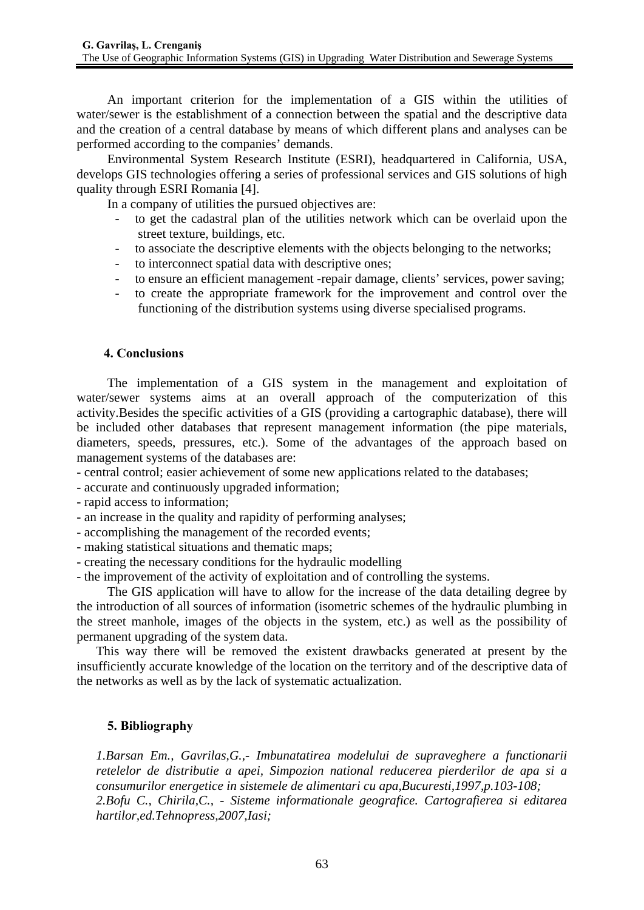An important criterion for the implementation of a GIS within the utilities of water/sewer is the establishment of a connection between the spatial and the descriptive data and the creation of a central database by means of which different plans and analyses can be performed according to the companies' demands.

Environmental System Research Institute (ESRI), headquartered in California, USA, develops GIS technologies offering a series of professional services and GIS solutions of high quality through ESRI Romania [4].

In a company of utilities the pursued objectives are:

- to get the cadastral plan of the utilities network which can be overlaid upon the street texture, buildings, etc.
- to associate the descriptive elements with the objects belonging to the networks;
- to interconnect spatial data with descriptive ones;
- to ensure an efficient management -repair damage, clients' services, power saving;
- to create the appropriate framework for the improvement and control over the functioning of the distribution systems using diverse specialised programs.

## **4. Conclusions**

The implementation of a GIS system in the management and exploitation of water/sewer systems aims at an overall approach of the computerization of this activity.Besides the specific activities of a GIS (providing a cartographic database), there will be included other databases that represent management information (the pipe materials, diameters, speeds, pressures, etc.). Some of the advantages of the approach based on management systems of the databases are:

- central control; easier achievement of some new applications related to the databases;

- accurate and continuously upgraded information;
- rapid access to information;
- an increase in the quality and rapidity of performing analyses;
- accomplishing the management of the recorded events;
- making statistical situations and thematic maps;
- creating the necessary conditions for the hydraulic modelling
- the improvement of the activity of exploitation and of controlling the systems.

The GIS application will have to allow for the increase of the data detailing degree by the introduction of all sources of information (isometric schemes of the hydraulic plumbing in the street manhole, images of the objects in the system, etc.) as well as the possibility of permanent upgrading of the system data.

 This way there will be removed the existent drawbacks generated at present by the insufficiently accurate knowledge of the location on the territory and of the descriptive data of the networks as well as by the lack of systematic actualization.

# **5. Bibliography**

*1.Barsan Em., Gavrilas,G.,- Imbunatatirea modelului de supraveghere a functionarii retelelor de distributie a apei, Simpozion national reducerea pierderilor de apa si a consumurilor energetice in sistemele de alimentari cu apa,Bucuresti,1997,p.103-108; 2.Bofu C., Chirila,C., - Sisteme informationale geografice. Cartografierea si editarea hartilor,ed.Tehnopress,2007,Iasi;*